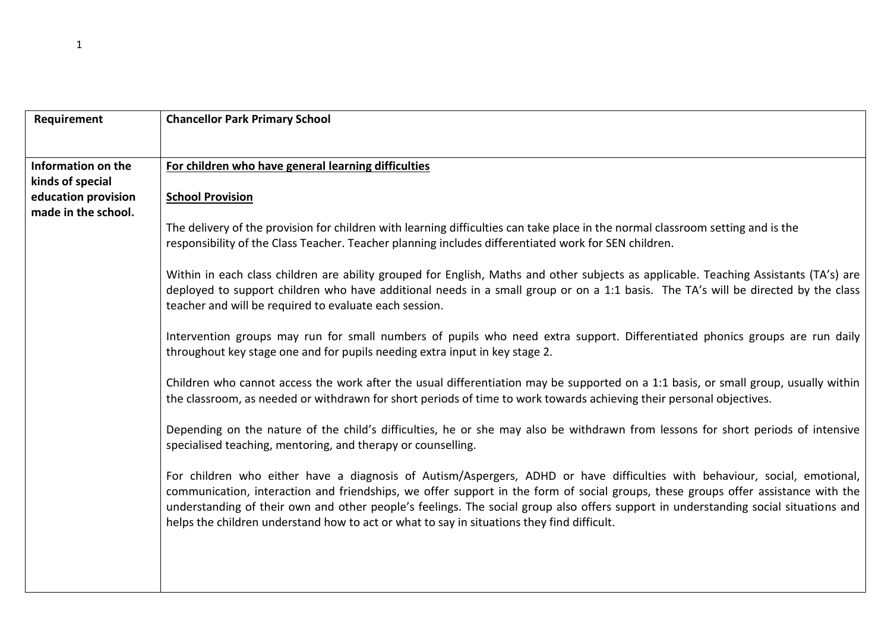| Requirement                            | <b>Chancellor Park Primary School</b>                                                                                                                                                                                                                                                                                                                                                                                                                                                                |
|----------------------------------------|------------------------------------------------------------------------------------------------------------------------------------------------------------------------------------------------------------------------------------------------------------------------------------------------------------------------------------------------------------------------------------------------------------------------------------------------------------------------------------------------------|
|                                        |                                                                                                                                                                                                                                                                                                                                                                                                                                                                                                      |
| Information on the<br>kinds of special | For children who have general learning difficulties                                                                                                                                                                                                                                                                                                                                                                                                                                                  |
| education provision                    | <b>School Provision</b>                                                                                                                                                                                                                                                                                                                                                                                                                                                                              |
| made in the school.                    | The delivery of the provision for children with learning difficulties can take place in the normal classroom setting and is the<br>responsibility of the Class Teacher. Teacher planning includes differentiated work for SEN children.                                                                                                                                                                                                                                                              |
|                                        | Within in each class children are ability grouped for English, Maths and other subjects as applicable. Teaching Assistants (TA's) are<br>deployed to support children who have additional needs in a small group or on a 1:1 basis. The TA's will be directed by the class<br>teacher and will be required to evaluate each session.                                                                                                                                                                 |
|                                        | Intervention groups may run for small numbers of pupils who need extra support. Differentiated phonics groups are run daily<br>throughout key stage one and for pupils needing extra input in key stage 2.                                                                                                                                                                                                                                                                                           |
|                                        | Children who cannot access the work after the usual differentiation may be supported on a 1:1 basis, or small group, usually within<br>the classroom, as needed or withdrawn for short periods of time to work towards achieving their personal objectives.                                                                                                                                                                                                                                          |
|                                        | Depending on the nature of the child's difficulties, he or she may also be withdrawn from lessons for short periods of intensive<br>specialised teaching, mentoring, and therapy or counselling.                                                                                                                                                                                                                                                                                                     |
|                                        | For children who either have a diagnosis of Autism/Aspergers, ADHD or have difficulties with behaviour, social, emotional,<br>communication, interaction and friendships, we offer support in the form of social groups, these groups offer assistance with the<br>understanding of their own and other people's feelings. The social group also offers support in understanding social situations and<br>helps the children understand how to act or what to say in situations they find difficult. |
|                                        |                                                                                                                                                                                                                                                                                                                                                                                                                                                                                                      |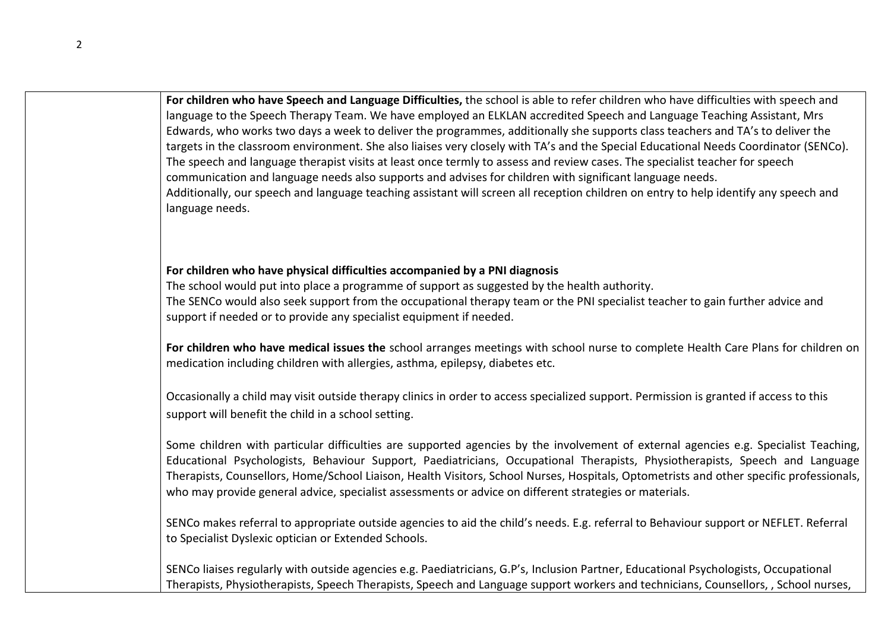**For children who have Speech and Language Difficulties,** the school is able to refer children who have difficulties with speech and language to the Speech Therapy Team. We have employed an ELKLAN accredited Speech and Language Teaching Assistant, Mrs Edwards, who works two days a week to deliver the programmes, additionally she supports class teachers and TA's to deliver the targets in the classroom environment. She also liaises very closely with TA's and the Special Educational Needs Coordinator (SENCo). The speech and language therapist visits at least once termly to assess and review cases. The specialist teacher for speech communication and language needs also supports and advises for children with significant language needs. Additionally, our speech and language teaching assistant will screen all reception children on entry to help identify any speech and language needs.

## **For children who have physical difficulties accompanied by a PNI diagnosis**

The school would put into place a programme of support as suggested by the health authority. The SENCo would also seek support from the occupational therapy team or the PNI specialist teacher to gain further advice and support if needed or to provide any specialist equipment if needed.

**For children who have medical issues the** school arranges meetings with school nurse to complete Health Care Plans for children on medication including children with allergies, asthma, epilepsy, diabetes etc.

Occasionally a child may visit outside therapy clinics in order to access specialized support. Permission is granted if access to this support will benefit the child in a school setting.

Some children with particular difficulties are supported agencies by the involvement of external agencies e.g. Specialist Teaching, Educational Psychologists, Behaviour Support, Paediatricians, Occupational Therapists, Physiotherapists, Speech and Language Therapists, Counsellors, Home/School Liaison, Health Visitors, School Nurses, Hospitals, Optometrists and other specific professionals, who may provide general advice, specialist assessments or advice on different strategies or materials.

SENCo makes referral to appropriate outside agencies to aid the child's needs. E.g. referral to Behaviour support or NEFLET. Referral to Specialist Dyslexic optician or Extended Schools.

SENCo liaises regularly with outside agencies e.g. Paediatricians, G.P's, Inclusion Partner, Educational Psychologists, Occupational Therapists, Physiotherapists, Speech Therapists, Speech and Language support workers and technicians, Counsellors, , School nurses,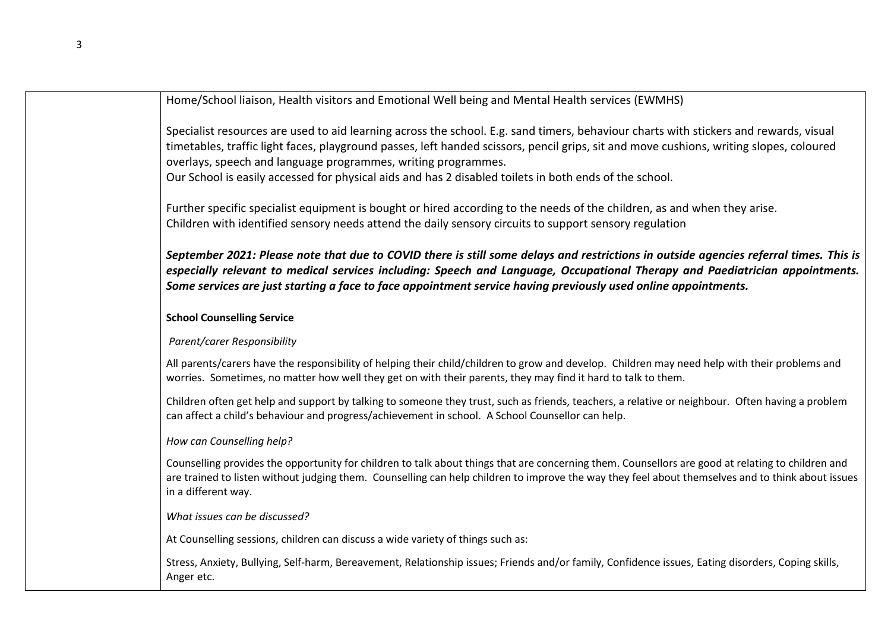Home/School liaison, Health visitors and Emotional Well being and Mental Health services (EWMHS)

Specialist resources are used to aid learning across the school. E.g. sand timers, behaviour charts with stickers and rewards, visual timetables, traffic light faces, playground passes, left handed scissors, pencil grips, sit and move cushions, writing slopes, coloured overlays, speech and language programmes, writing programmes.

Our School is easily accessed for physical aids and has 2 disabled toilets in both ends of the school.

Further specific specialist equipment is bought or hired according to the needs of the children, as and when they arise. Children with identified sensory needs attend the daily sensory circuits to support sensory regulation

*September 2021: Please note that due to COVID there is still some delays and restrictions in outside agencies referral times. This is especially relevant to medical services including: Speech and Language, Occupational Therapy and Paediatrician appointments. Some services are just starting a face to face appointment service having previously used online appointments.* 

# **School Counselling Service**

### *Parent/carer Responsibility*

All parents/carers have the responsibility of helping their child/children to grow and develop. Children may need help with their problems and worries. Sometimes, no matter how well they get on with their parents, they may find it hard to talk to them.

Children often get help and support by talking to someone they trust, such as friends, teachers, a relative or neighbour. Often having a problem can affect a child's behaviour and progress/achievement in school. A School Counsellor can help.

### *How can Counselling help?*

Counselling provides the opportunity for children to talk about things that are concerning them. Counsellors are good at relating to children and are trained to listen without judging them. Counselling can help children to improve the way they feel about themselves and to think about issues in a different way.

### *What issues can be discussed?*

At Counselling sessions, children can discuss a wide variety of things such as:

Stress, Anxiety, Bullying, Self-harm, Bereavement, Relationship issues; Friends and/or family, Confidence issues, Eating disorders, Coping skills, Anger etc.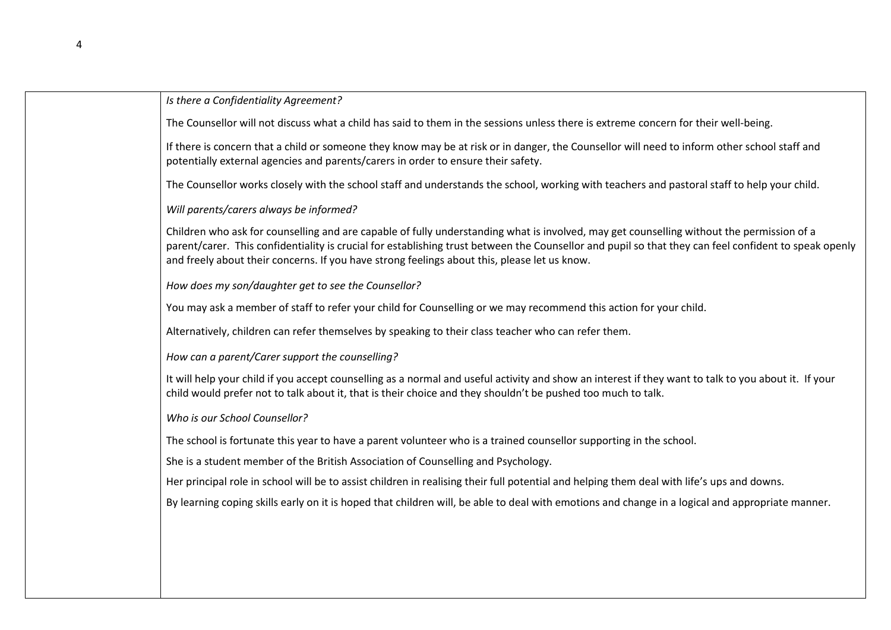#### *Is there a Confidentiality Agreement?*

The Counsellor will not discuss what a child has said to them in the sessions unless there is extreme concern for their well-being.

If there is concern that a child or someone they know may be at risk or in danger, the Counsellor will need to inform other school staff and potentially external agencies and parents/carers in order to ensure their safety.

The Counsellor works closely with the school staff and understands the school, working with teachers and pastoral staff to help your child.

*Will parents/carers always be informed?*

Children who ask for counselling and are capable of fully understanding what is involved, may get counselling without the permission of a parent/carer. This confidentiality is crucial for establishing trust between the Counsellor and pupil so that they can feel confident to speak openly and freely about their concerns. If you have strong feelings about this, please let us know.

*How does my son/daughter get to see the Counsellor?*

You may ask a member of staff to refer your child for Counselling or we may recommend this action for your child.

Alternatively, children can refer themselves by speaking to their class teacher who can refer them.

*How can a parent/Carer support the counselling?*

It will help your child if you accept counselling as a normal and useful activity and show an interest if they want to talk to you about it. If your child would prefer not to talk about it, that is their choice and they shouldn't be pushed too much to talk.

*Who is our School Counsellor?*

The school is fortunate this year to have a parent volunteer who is a trained counsellor supporting in the school.

She is a student member of the British Association of Counselling and Psychology.

Her principal role in school will be to assist children in realising their full potential and helping them deal with life's ups and downs.

By learning coping skills early on it is hoped that children will, be able to deal with emotions and change in a logical and appropriate manner.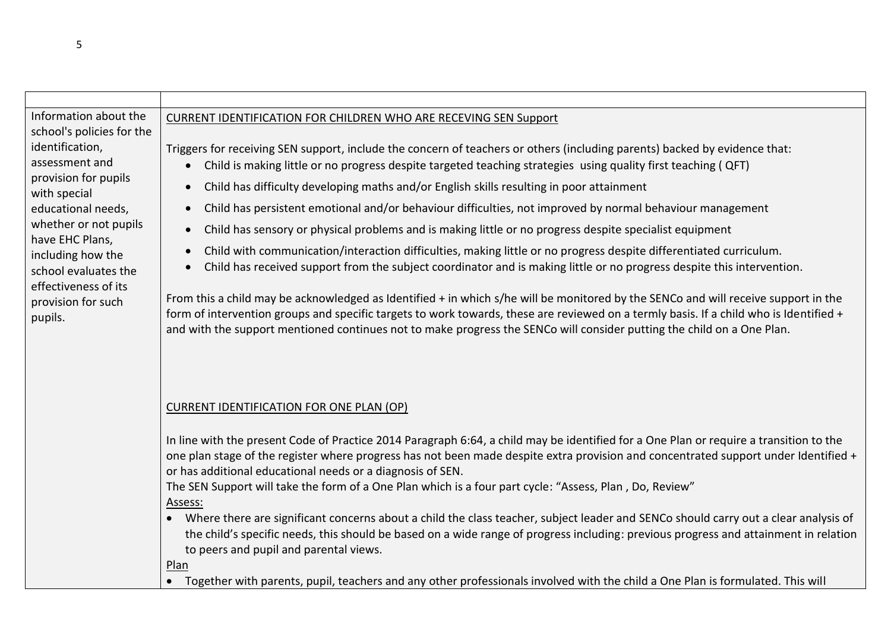| Information about the                                 | <b>CURRENT IDENTIFICATION FOR CHILDREN WHO ARE RECEVING SEN Support</b>                                                                                                                                                                                                                                                                                                                                |
|-------------------------------------------------------|--------------------------------------------------------------------------------------------------------------------------------------------------------------------------------------------------------------------------------------------------------------------------------------------------------------------------------------------------------------------------------------------------------|
| school's policies for the<br>identification,          | Triggers for receiving SEN support, include the concern of teachers or others (including parents) backed by evidence that:                                                                                                                                                                                                                                                                             |
| assessment and<br>provision for pupils                | Child is making little or no progress despite targeted teaching strategies using quality first teaching ( QFT)<br>$\bullet$                                                                                                                                                                                                                                                                            |
| with special                                          | Child has difficulty developing maths and/or English skills resulting in poor attainment<br>$\bullet$                                                                                                                                                                                                                                                                                                  |
| educational needs,<br>whether or not pupils           | Child has persistent emotional and/or behaviour difficulties, not improved by normal behaviour management<br>$\bullet$                                                                                                                                                                                                                                                                                 |
| have EHC Plans,                                       | Child has sensory or physical problems and is making little or no progress despite specialist equipment<br>$\bullet$                                                                                                                                                                                                                                                                                   |
| including how the<br>school evaluates the             | Child with communication/interaction difficulties, making little or no progress despite differentiated curriculum.<br>$\bullet$<br>Child has received support from the subject coordinator and is making little or no progress despite this intervention.<br>$\bullet$                                                                                                                                 |
| effectiveness of its<br>provision for such<br>pupils. | From this a child may be acknowledged as Identified + in which s/he will be monitored by the SENCo and will receive support in the<br>form of intervention groups and specific targets to work towards, these are reviewed on a termly basis. If a child who is Identified +<br>and with the support mentioned continues not to make progress the SENCo will consider putting the child on a One Plan. |
|                                                       |                                                                                                                                                                                                                                                                                                                                                                                                        |
|                                                       | <b>CURRENT IDENTIFICATION FOR ONE PLAN (OP)</b>                                                                                                                                                                                                                                                                                                                                                        |
|                                                       | In line with the present Code of Practice 2014 Paragraph 6:64, a child may be identified for a One Plan or require a transition to the                                                                                                                                                                                                                                                                 |
|                                                       | one plan stage of the register where progress has not been made despite extra provision and concentrated support under Identified +<br>or has additional educational needs or a diagnosis of SEN.                                                                                                                                                                                                      |
|                                                       | The SEN Support will take the form of a One Plan which is a four part cycle: "Assess, Plan, Do, Review"                                                                                                                                                                                                                                                                                                |
|                                                       | Assess:<br>• Where there are significant concerns about a child the class teacher, subject leader and SENCo should carry out a clear analysis of<br>the child's specific needs, this should be based on a wide range of progress including: previous progress and attainment in relation<br>to peers and pupil and parental views.                                                                     |
|                                                       | Plan<br>• Together with parents, pupil, teachers and any other professionals involved with the child a One Plan is formulated. This will                                                                                                                                                                                                                                                               |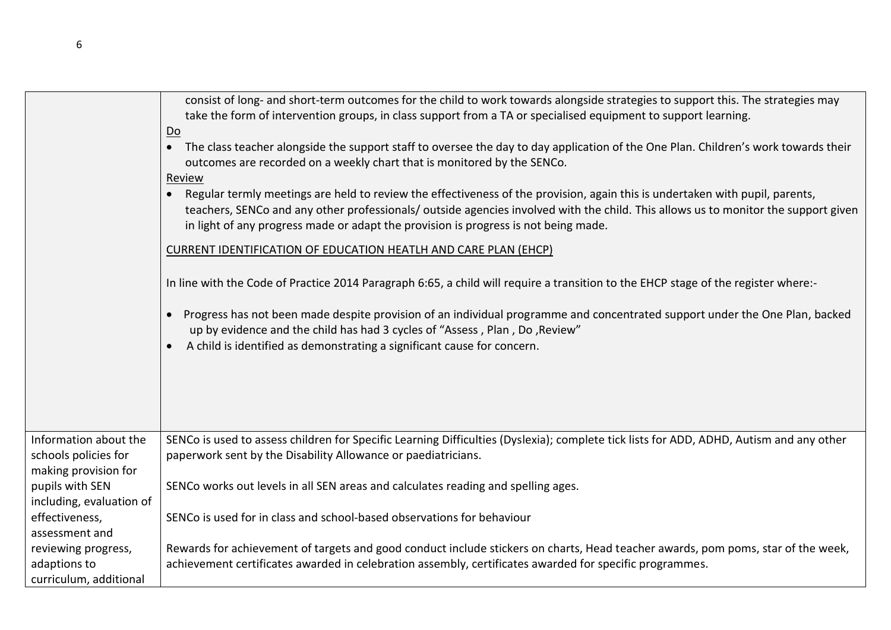|                                                                       | consist of long- and short-term outcomes for the child to work towards alongside strategies to support this. The strategies may<br>take the form of intervention groups, in class support from a TA or specialised equipment to support learning.<br>Do                                                                                                             |
|-----------------------------------------------------------------------|---------------------------------------------------------------------------------------------------------------------------------------------------------------------------------------------------------------------------------------------------------------------------------------------------------------------------------------------------------------------|
|                                                                       | The class teacher alongside the support staff to oversee the day to day application of the One Plan. Children's work towards their<br>$\bullet$<br>outcomes are recorded on a weekly chart that is monitored by the SENCo.                                                                                                                                          |
|                                                                       | Review<br>Regular termly meetings are held to review the effectiveness of the provision, again this is undertaken with pupil, parents,<br>teachers, SENCo and any other professionals/ outside agencies involved with the child. This allows us to monitor the support given<br>in light of any progress made or adapt the provision is progress is not being made. |
|                                                                       | CURRENT IDENTIFICATION OF EDUCATION HEATLH AND CARE PLAN (EHCP)                                                                                                                                                                                                                                                                                                     |
|                                                                       | In line with the Code of Practice 2014 Paragraph 6:65, a child will require a transition to the EHCP stage of the register where:-                                                                                                                                                                                                                                  |
|                                                                       | • Progress has not been made despite provision of an individual programme and concentrated support under the One Plan, backed<br>up by evidence and the child has had 3 cycles of "Assess, Plan, Do, Review"<br>A child is identified as demonstrating a significant cause for concern.                                                                             |
|                                                                       |                                                                                                                                                                                                                                                                                                                                                                     |
| Information about the<br>schools policies for<br>making provision for | SENCo is used to assess children for Specific Learning Difficulties (Dyslexia); complete tick lists for ADD, ADHD, Autism and any other<br>paperwork sent by the Disability Allowance or paediatricians.                                                                                                                                                            |
| pupils with SEN<br>including, evaluation of                           | SENCo works out levels in all SEN areas and calculates reading and spelling ages.                                                                                                                                                                                                                                                                                   |
| effectiveness,<br>assessment and                                      | SENCo is used for in class and school-based observations for behaviour                                                                                                                                                                                                                                                                                              |
| reviewing progress,<br>adaptions to<br>curriculum, additional         | Rewards for achievement of targets and good conduct include stickers on charts, Head teacher awards, pom poms, star of the week,<br>achievement certificates awarded in celebration assembly, certificates awarded for specific programmes.                                                                                                                         |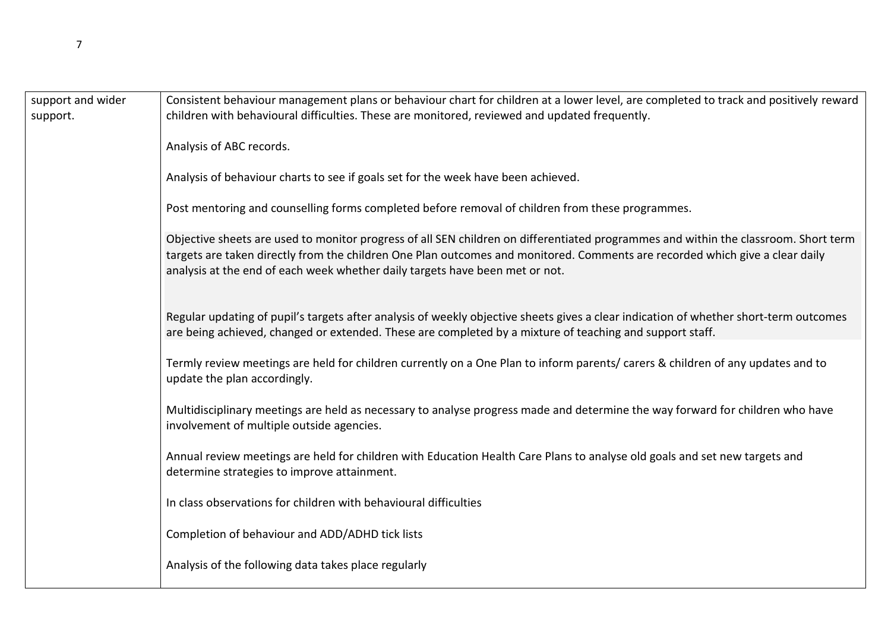| support and wider<br>support. | Consistent behaviour management plans or behaviour chart for children at a lower level, are completed to track and positively reward<br>children with behavioural difficulties. These are monitored, reviewed and updated frequently.                                                                                                               |
|-------------------------------|-----------------------------------------------------------------------------------------------------------------------------------------------------------------------------------------------------------------------------------------------------------------------------------------------------------------------------------------------------|
|                               | Analysis of ABC records.                                                                                                                                                                                                                                                                                                                            |
|                               | Analysis of behaviour charts to see if goals set for the week have been achieved.                                                                                                                                                                                                                                                                   |
|                               | Post mentoring and counselling forms completed before removal of children from these programmes.                                                                                                                                                                                                                                                    |
|                               | Objective sheets are used to monitor progress of all SEN children on differentiated programmes and within the classroom. Short term<br>targets are taken directly from the children One Plan outcomes and monitored. Comments are recorded which give a clear daily<br>analysis at the end of each week whether daily targets have been met or not. |
|                               | Regular updating of pupil's targets after analysis of weekly objective sheets gives a clear indication of whether short-term outcomes<br>are being achieved, changed or extended. These are completed by a mixture of teaching and support staff.                                                                                                   |
|                               | Termly review meetings are held for children currently on a One Plan to inform parents/ carers & children of any updates and to<br>update the plan accordingly.                                                                                                                                                                                     |
|                               | Multidisciplinary meetings are held as necessary to analyse progress made and determine the way forward for children who have<br>involvement of multiple outside agencies.                                                                                                                                                                          |
|                               | Annual review meetings are held for children with Education Health Care Plans to analyse old goals and set new targets and<br>determine strategies to improve attainment.                                                                                                                                                                           |
|                               | In class observations for children with behavioural difficulties                                                                                                                                                                                                                                                                                    |
|                               | Completion of behaviour and ADD/ADHD tick lists                                                                                                                                                                                                                                                                                                     |
|                               | Analysis of the following data takes place regularly                                                                                                                                                                                                                                                                                                |
|                               |                                                                                                                                                                                                                                                                                                                                                     |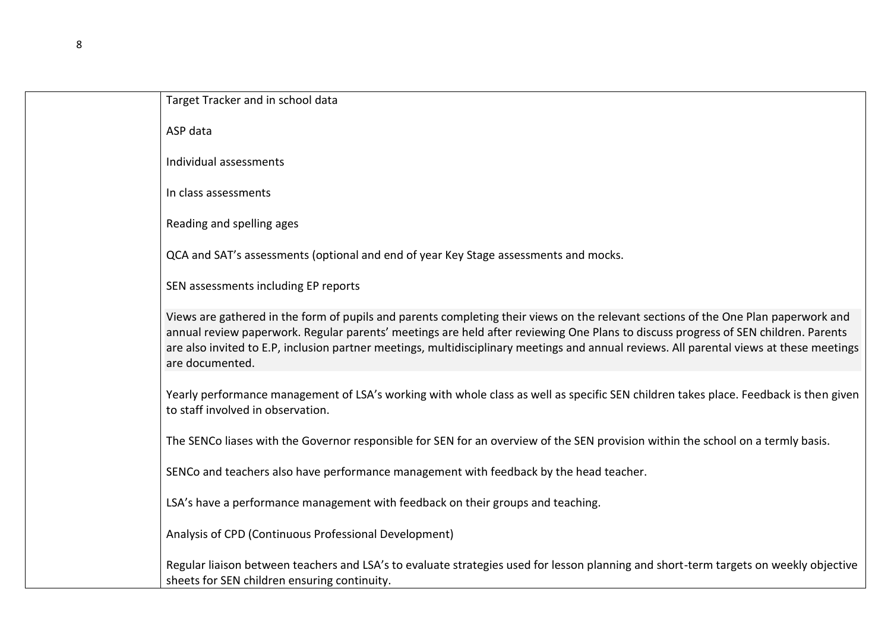| Target Tracker and in school data                                                                                                                                                                                                                                                                                                                                                                                                       |
|-----------------------------------------------------------------------------------------------------------------------------------------------------------------------------------------------------------------------------------------------------------------------------------------------------------------------------------------------------------------------------------------------------------------------------------------|
| ASP data                                                                                                                                                                                                                                                                                                                                                                                                                                |
| Individual assessments                                                                                                                                                                                                                                                                                                                                                                                                                  |
| In class assessments                                                                                                                                                                                                                                                                                                                                                                                                                    |
| Reading and spelling ages                                                                                                                                                                                                                                                                                                                                                                                                               |
| QCA and SAT's assessments (optional and end of year Key Stage assessments and mocks.                                                                                                                                                                                                                                                                                                                                                    |
| SEN assessments including EP reports                                                                                                                                                                                                                                                                                                                                                                                                    |
| Views are gathered in the form of pupils and parents completing their views on the relevant sections of the One Plan paperwork and<br>annual review paperwork. Regular parents' meetings are held after reviewing One Plans to discuss progress of SEN children. Parents<br>are also invited to E.P, inclusion partner meetings, multidisciplinary meetings and annual reviews. All parental views at these meetings<br>are documented. |
| Yearly performance management of LSA's working with whole class as well as specific SEN children takes place. Feedback is then given<br>to staff involved in observation.                                                                                                                                                                                                                                                               |
| The SENCo liases with the Governor responsible for SEN for an overview of the SEN provision within the school on a termly basis.                                                                                                                                                                                                                                                                                                        |
| SENCo and teachers also have performance management with feedback by the head teacher.                                                                                                                                                                                                                                                                                                                                                  |
| LSA's have a performance management with feedback on their groups and teaching.                                                                                                                                                                                                                                                                                                                                                         |
| Analysis of CPD (Continuous Professional Development)                                                                                                                                                                                                                                                                                                                                                                                   |
| Regular liaison between teachers and LSA's to evaluate strategies used for lesson planning and short-term targets on weekly objective<br>sheets for SEN children ensuring continuity.                                                                                                                                                                                                                                                   |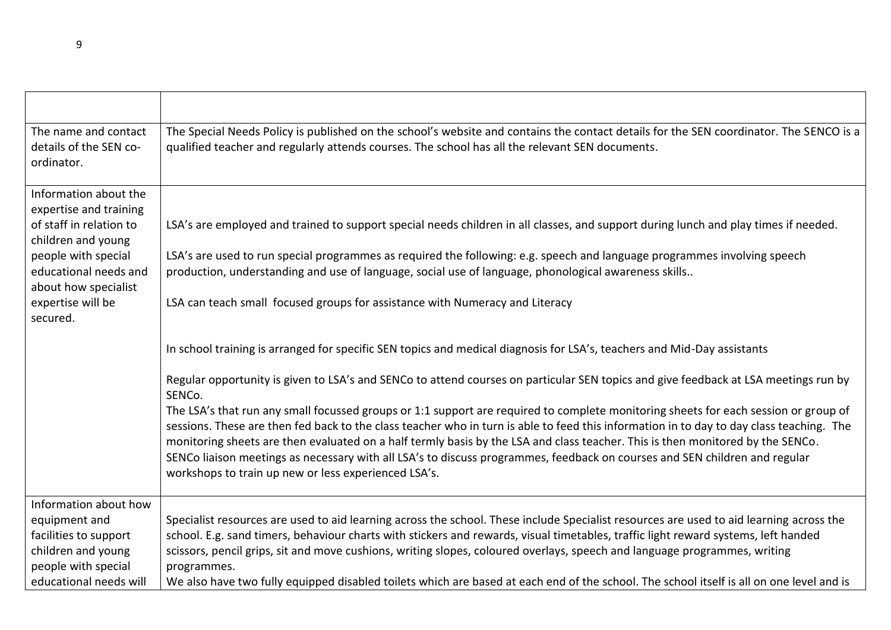| The name and contact<br>details of the SEN co-<br>ordinator.         | The Special Needs Policy is published on the school's website and contains the contact details for the SEN coordinator. The SENCO is a<br>qualified teacher and regularly attends courses. The school has all the relevant SEN documents.                                                                                                                                                                                                                                                                                                                                                               |
|----------------------------------------------------------------------|---------------------------------------------------------------------------------------------------------------------------------------------------------------------------------------------------------------------------------------------------------------------------------------------------------------------------------------------------------------------------------------------------------------------------------------------------------------------------------------------------------------------------------------------------------------------------------------------------------|
| Information about the<br>expertise and training                      |                                                                                                                                                                                                                                                                                                                                                                                                                                                                                                                                                                                                         |
| of staff in relation to<br>children and young                        | LSA's are employed and trained to support special needs children in all classes, and support during lunch and play times if needed.                                                                                                                                                                                                                                                                                                                                                                                                                                                                     |
| people with special<br>educational needs and<br>about how specialist | LSA's are used to run special programmes as required the following: e.g. speech and language programmes involving speech<br>production, understanding and use of language, social use of language, phonological awareness skills                                                                                                                                                                                                                                                                                                                                                                        |
| expertise will be<br>secured.                                        | LSA can teach small focused groups for assistance with Numeracy and Literacy                                                                                                                                                                                                                                                                                                                                                                                                                                                                                                                            |
|                                                                      | In school training is arranged for specific SEN topics and medical diagnosis for LSA's, teachers and Mid-Day assistants                                                                                                                                                                                                                                                                                                                                                                                                                                                                                 |
|                                                                      | Regular opportunity is given to LSA's and SENCo to attend courses on particular SEN topics and give feedback at LSA meetings run by<br>SENCo.                                                                                                                                                                                                                                                                                                                                                                                                                                                           |
|                                                                      | The LSA's that run any small focussed groups or 1:1 support are required to complete monitoring sheets for each session or group of<br>sessions. These are then fed back to the class teacher who in turn is able to feed this information in to day to day class teaching. The<br>monitoring sheets are then evaluated on a half termly basis by the LSA and class teacher. This is then monitored by the SENCo.<br>SENCo liaison meetings as necessary with all LSA's to discuss programmes, feedback on courses and SEN children and regular<br>workshops to train up new or less experienced LSA's. |
| Information about how<br>equipment and                               | Specialist resources are used to aid learning across the school. These include Specialist resources are used to aid learning across the                                                                                                                                                                                                                                                                                                                                                                                                                                                                 |
| facilities to support<br>children and young<br>people with special   | school. E.g. sand timers, behaviour charts with stickers and rewards, visual timetables, traffic light reward systems, left handed<br>scissors, pencil grips, sit and move cushions, writing slopes, coloured overlays, speech and language programmes, writing<br>programmes.                                                                                                                                                                                                                                                                                                                          |
| educational needs will                                               | We also have two fully equipped disabled toilets which are based at each end of the school. The school itself is all on one level and is                                                                                                                                                                                                                                                                                                                                                                                                                                                                |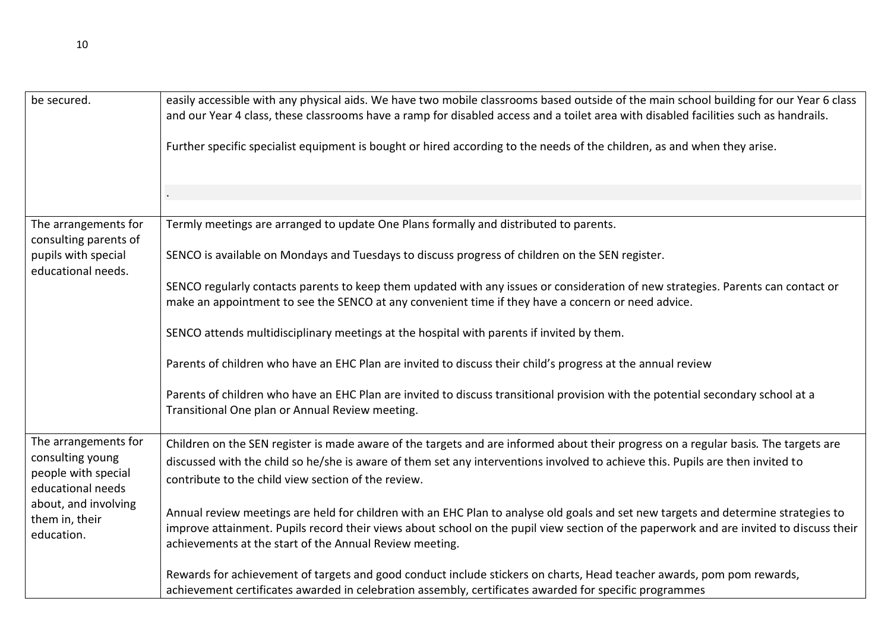| be secured.                                                  | easily accessible with any physical aids. We have two mobile classrooms based outside of the main school building for our Year 6 class<br>and our Year 4 class, these classrooms have a ramp for disabled access and a toilet area with disabled facilities such as handrails.                                                          |
|--------------------------------------------------------------|-----------------------------------------------------------------------------------------------------------------------------------------------------------------------------------------------------------------------------------------------------------------------------------------------------------------------------------------|
|                                                              | Further specific specialist equipment is bought or hired according to the needs of the children, as and when they arise.                                                                                                                                                                                                                |
|                                                              |                                                                                                                                                                                                                                                                                                                                         |
|                                                              |                                                                                                                                                                                                                                                                                                                                         |
| The arrangements for<br>consulting parents of                | Termly meetings are arranged to update One Plans formally and distributed to parents.                                                                                                                                                                                                                                                   |
| pupils with special<br>educational needs.                    | SENCO is available on Mondays and Tuesdays to discuss progress of children on the SEN register.                                                                                                                                                                                                                                         |
|                                                              | SENCO regularly contacts parents to keep them updated with any issues or consideration of new strategies. Parents can contact or<br>make an appointment to see the SENCO at any convenient time if they have a concern or need advice.                                                                                                  |
|                                                              | SENCO attends multidisciplinary meetings at the hospital with parents if invited by them.                                                                                                                                                                                                                                               |
|                                                              | Parents of children who have an EHC Plan are invited to discuss their child's progress at the annual review                                                                                                                                                                                                                             |
|                                                              | Parents of children who have an EHC Plan are invited to discuss transitional provision with the potential secondary school at a<br>Transitional One plan or Annual Review meeting.                                                                                                                                                      |
| The arrangements for                                         | Children on the SEN register is made aware of the targets and are informed about their progress on a regular basis. The targets are                                                                                                                                                                                                     |
| consulting young<br>people with special<br>educational needs | discussed with the child so he/she is aware of them set any interventions involved to achieve this. Pupils are then invited to<br>contribute to the child view section of the review.                                                                                                                                                   |
| about, and involving<br>them in, their<br>education.         | Annual review meetings are held for children with an EHC Plan to analyse old goals and set new targets and determine strategies to<br>improve attainment. Pupils record their views about school on the pupil view section of the paperwork and are invited to discuss their<br>achievements at the start of the Annual Review meeting. |
|                                                              | Rewards for achievement of targets and good conduct include stickers on charts, Head teacher awards, pom pom rewards,<br>achievement certificates awarded in celebration assembly, certificates awarded for specific programmes                                                                                                         |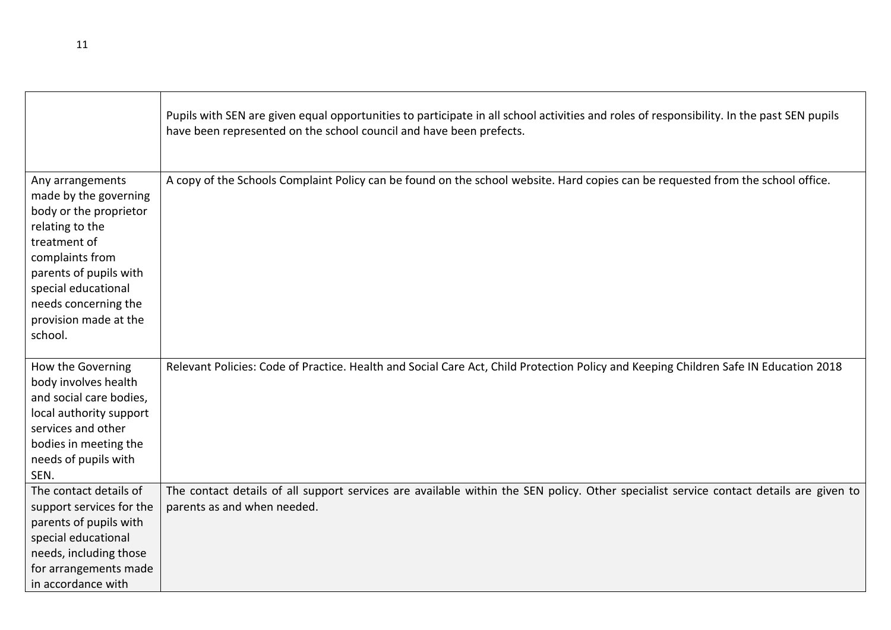|                                                                                                                                                                                                                                        | Pupils with SEN are given equal opportunities to participate in all school activities and roles of responsibility. In the past SEN pupils<br>have been represented on the school council and have been prefects. |
|----------------------------------------------------------------------------------------------------------------------------------------------------------------------------------------------------------------------------------------|------------------------------------------------------------------------------------------------------------------------------------------------------------------------------------------------------------------|
| Any arrangements<br>made by the governing<br>body or the proprietor<br>relating to the<br>treatment of<br>complaints from<br>parents of pupils with<br>special educational<br>needs concerning the<br>provision made at the<br>school. | A copy of the Schools Complaint Policy can be found on the school website. Hard copies can be requested from the school office.                                                                                  |
| How the Governing<br>body involves health<br>and social care bodies,<br>local authority support<br>services and other<br>bodies in meeting the<br>needs of pupils with<br>SEN.                                                         | Relevant Policies: Code of Practice. Health and Social Care Act, Child Protection Policy and Keeping Children Safe IN Education 2018                                                                             |
| The contact details of<br>support services for the<br>parents of pupils with<br>special educational<br>needs, including those<br>for arrangements made<br>in accordance with                                                           | The contact details of all support services are available within the SEN policy. Other specialist service contact details are given to<br>parents as and when needed.                                            |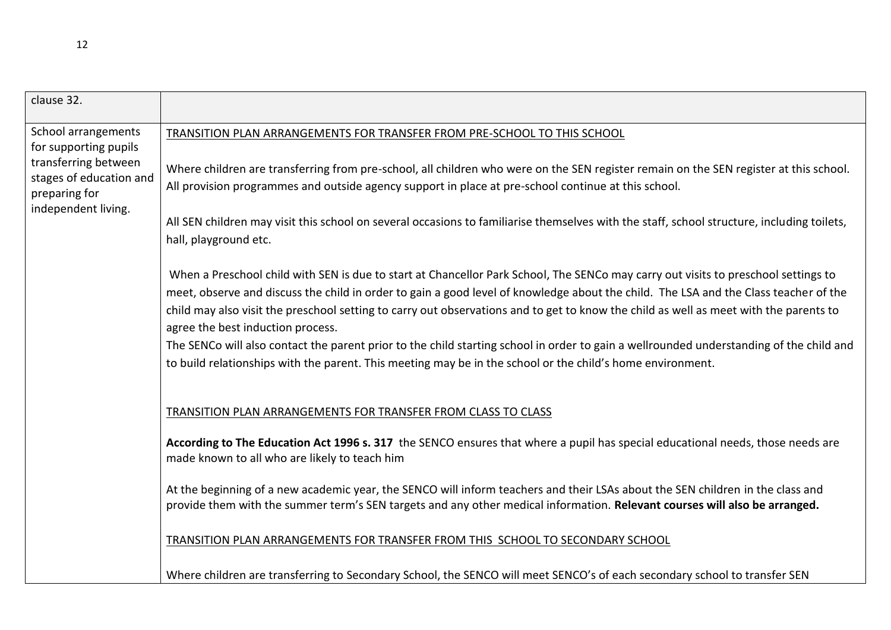| clause 32.                                                                              |                                                                                                                                                                                                                                                                                                                                                                                                                     |
|-----------------------------------------------------------------------------------------|---------------------------------------------------------------------------------------------------------------------------------------------------------------------------------------------------------------------------------------------------------------------------------------------------------------------------------------------------------------------------------------------------------------------|
| School arrangements<br>for supporting pupils                                            | TRANSITION PLAN ARRANGEMENTS FOR TRANSFER FROM PRE-SCHOOL TO THIS SCHOOL                                                                                                                                                                                                                                                                                                                                            |
| transferring between<br>stages of education and<br>preparing for<br>independent living. | Where children are transferring from pre-school, all children who were on the SEN register remain on the SEN register at this school.<br>All provision programmes and outside agency support in place at pre-school continue at this school.                                                                                                                                                                        |
|                                                                                         | All SEN children may visit this school on several occasions to familiarise themselves with the staff, school structure, including toilets,<br>hall, playground etc.                                                                                                                                                                                                                                                 |
|                                                                                         | When a Preschool child with SEN is due to start at Chancellor Park School, The SENCo may carry out visits to preschool settings to<br>meet, observe and discuss the child in order to gain a good level of knowledge about the child. The LSA and the Class teacher of the<br>child may also visit the preschool setting to carry out observations and to get to know the child as well as meet with the parents to |
|                                                                                         | agree the best induction process.                                                                                                                                                                                                                                                                                                                                                                                   |
|                                                                                         | The SENCo will also contact the parent prior to the child starting school in order to gain a wellrounded understanding of the child and<br>to build relationships with the parent. This meeting may be in the school or the child's home environment.                                                                                                                                                               |
|                                                                                         | TRANSITION PLAN ARRANGEMENTS FOR TRANSFER FROM CLASS TO CLASS                                                                                                                                                                                                                                                                                                                                                       |
|                                                                                         | According to The Education Act 1996 s. 317 the SENCO ensures that where a pupil has special educational needs, those needs are<br>made known to all who are likely to teach him                                                                                                                                                                                                                                     |
|                                                                                         | At the beginning of a new academic year, the SENCO will inform teachers and their LSAs about the SEN children in the class and<br>provide them with the summer term's SEN targets and any other medical information. Relevant courses will also be arranged.                                                                                                                                                        |
|                                                                                         | <b>TRANSITION PLAN ARRANGEMENTS FOR TRANSFER FROM THIS SCHOOL TO SECONDARY SCHOOL</b>                                                                                                                                                                                                                                                                                                                               |
|                                                                                         | Where children are transferring to Secondary School, the SENCO will meet SENCO's of each secondary school to transfer SEN                                                                                                                                                                                                                                                                                           |